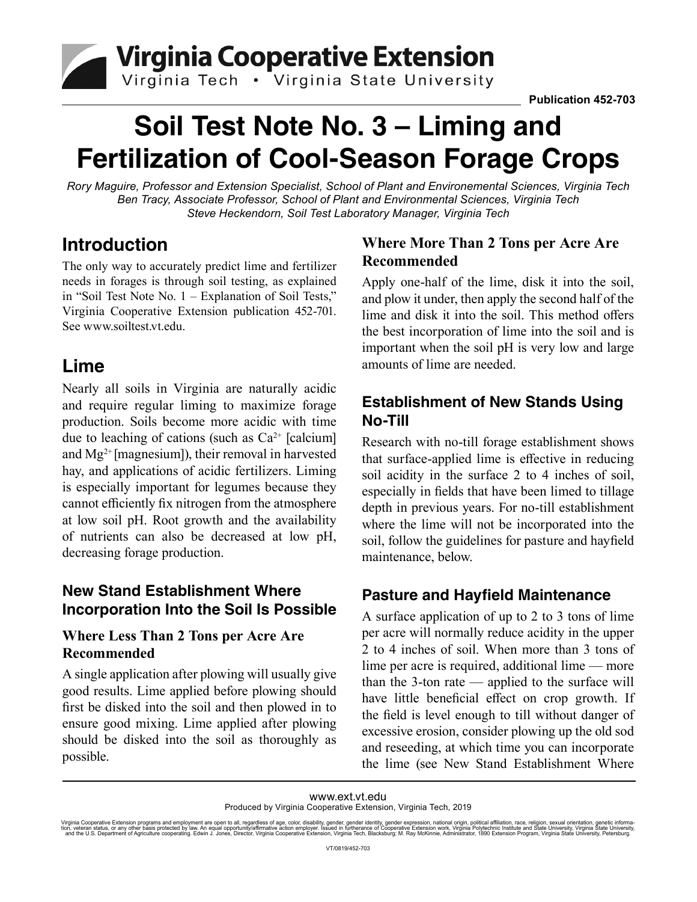Virginia Cooperative Extension

# **Soil Test Note No. 3 – Liming and Fertilization of Cool-Season Forage Crops**

*Rory Maguire, Professor and Extension Specialist, School of Plant and Environemental Sciences, Virginia Tech Ben Tracy, Associate Professor, School of Plant and Environmental Sciences, Virginia Tech Steve Heckendorn, Soil Test Laboratory Manager, Virginia Tech*

## **Introduction**

The only way to accurately predict lime and fertilizer needs in forages is through soil testing, as explained in "Soil Test Note No. 1 – Explanation of Soil Tests," Virginia Cooperative Extension publication 452-701. See www.soiltest.vt.edu.

## **Lime**

Nearly all soils in Virginia are naturally acidic and require regular liming to maximize forage production. Soils become more acidic with time due to leaching of cations (such as  $Ca<sup>2+</sup>$  [calcium] and  $Mg^{2+}$  [magnesium]), their removal in harvested hay, and applications of acidic fertilizers. Liming is especially important for legumes because they cannot efficiently fix nitrogen from the atmosphere at low soil pH. Root growth and the availability of nutrients can also be decreased at low pH, decreasing forage production.

### **New Stand Establishment Where Incorporation Into the Soil Is Possible**

#### **Where Less Than 2 Tons per Acre Are Recommended**

A single application after plowing will usually give good results. Lime applied before plowing should first be disked into the soil and then plowed in to ensure good mixing. Lime applied after plowing should be disked into the soil as thoroughly as possible.

#### **Where More Than 2 Tons per Acre Are Recommended**

Apply one-half of the lime, disk it into the soil, and plow it under, then apply the second half of the lime and disk it into the soil. This method offers the best incorporation of lime into the soil and is important when the soil pH is very low and large amounts of lime are needed.

## **Establishment of New Stands Using No-Till**

Research with no-till forage establishment shows that surface-applied lime is effective in reducing soil acidity in the surface 2 to 4 inches of soil, especially in fields that have been limed to tillage depth in previous years. For no-till establishment where the lime will not be incorporated into the soil, follow the guidelines for pasture and hayfield maintenance, below.

### **Pasture and Hayfield Maintenance**

A surface application of up to 2 to 3 tons of lime per acre will normally reduce acidity in the upper 2 to 4 inches of soil. When more than 3 tons of lime per acre is required, additional lime — more than the 3-ton rate — applied to the surface will have little beneficial effect on crop growth. If the field is level enough to till without danger of excessive erosion, consider plowing up the old sod and reseeding, at which time you can incorporate the lime (see New Stand Establishment Where

www.ext.vt.edu

Produced by Virginia Cooperative Extension, Virginia Tech, 2019

Virginia Cooperative Extension programs and employment are open to all, regardless of age, color, disability, gender, gender identity, gender expression, national origin, political affiliation, race, religion, sexual orien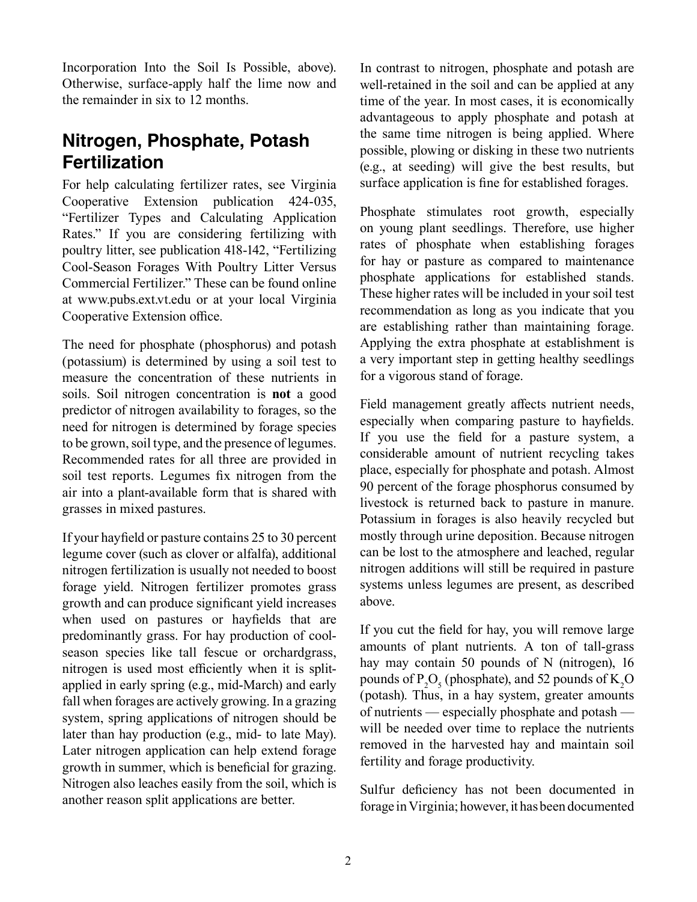Incorporation Into the Soil Is Possible, above). Otherwise, surface-apply half the lime now and the remainder in six to 12 months.

## **Nitrogen, Phosphate, Potash Fertilization**

For help calculating fertilizer rates, see Virginia Cooperative Extension publication 424-035, "Fertilizer Types and Calculating Application Rates." If you are considering fertilizing with poultry litter, see publication 418-142, "Fertilizing Cool-Season Forages With Poultry Litter Versus Commercial Fertilizer." These can be found online at www.pubs.ext.vt.edu or at your local Virginia Cooperative Extension office.

The need for phosphate (phosphorus) and potash (potassium) is determined by using a soil test to measure the concentration of these nutrients in soils. Soil nitrogen concentration is **not** a good predictor of nitrogen availability to forages, so the need for nitrogen is determined by forage species to be grown, soil type, and the presence of legumes. Recommended rates for all three are provided in soil test reports. Legumes fix nitrogen from the air into a plant-available form that is shared with grasses in mixed pastures.

If your hayfield or pasture contains 25 to 30 percent legume cover (such as clover or alfalfa), additional nitrogen fertilization is usually not needed to boost forage yield. Nitrogen fertilizer promotes grass growth and can produce significant yield increases when used on pastures or hayfields that are predominantly grass. For hay production of coolseason species like tall fescue or orchardgrass, nitrogen is used most efficiently when it is splitapplied in early spring (e.g., mid-March) and early fall when forages are actively growing. In a grazing system, spring applications of nitrogen should be later than hay production (e.g., mid- to late May). Later nitrogen application can help extend forage growth in summer, which is beneficial for grazing. Nitrogen also leaches easily from the soil, which is another reason split applications are better.

In contrast to nitrogen, phosphate and potash are well-retained in the soil and can be applied at any time of the year. In most cases, it is economically advantageous to apply phosphate and potash at the same time nitrogen is being applied. Where possible, plowing or disking in these two nutrients (e.g., at seeding) will give the best results, but surface application is fine for established forages.

Phosphate stimulates root growth, especially on young plant seedlings. Therefore, use higher rates of phosphate when establishing forages for hay or pasture as compared to maintenance phosphate applications for established stands. These higher rates will be included in your soil test recommendation as long as you indicate that you are establishing rather than maintaining forage. Applying the extra phosphate at establishment is a very important step in getting healthy seedlings for a vigorous stand of forage.

Field management greatly affects nutrient needs, especially when comparing pasture to hayfields. If you use the field for a pasture system, a considerable amount of nutrient recycling takes place, especially for phosphate and potash. Almost 90 percent of the forage phosphorus consumed by livestock is returned back to pasture in manure. Potassium in forages is also heavily recycled but mostly through urine deposition. Because nitrogen can be lost to the atmosphere and leached, regular nitrogen additions will still be required in pasture systems unless legumes are present, as described above.

If you cut the field for hay, you will remove large amounts of plant nutrients. A ton of tall-grass hay may contain 50 pounds of N (nitrogen), 16 pounds of  $P_2O_5$  (phosphate), and 52 pounds of  $K_2O$ (potash). Thus, in a hay system, greater amounts of nutrients — especially phosphate and potash will be needed over time to replace the nutrients removed in the harvested hay and maintain soil fertility and forage productivity.

Sulfur deficiency has not been documented in forage in Virginia; however, it has been documented